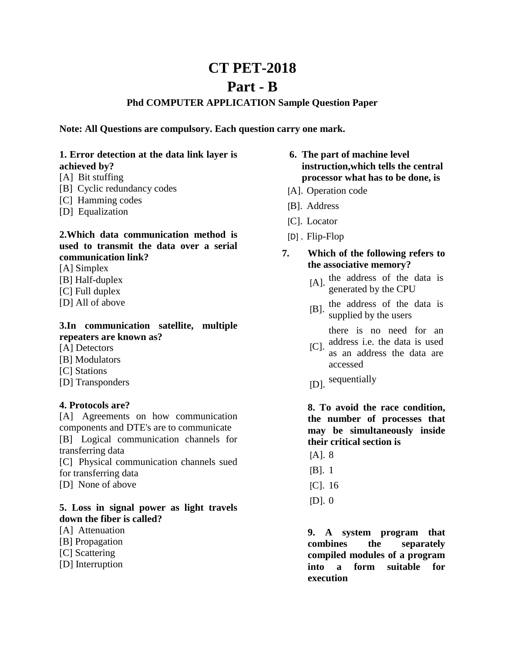# **CT PET-2018**

# **Part - B**

## **Phd COMPUTER APPLICATION Sample Question Paper**

**Note: All Questions are compulsory. Each question carry one mark.**

#### **1. Error detection at the data link layer is achieved by?**

- [A] Bit stuffing
- [B] Cyclic redundancy codes
- [C] Hamming codes
- [D] Equalization

## **2.Which data communication method is used to transmit the data over a serial communication link?**

- [A] Simplex
- [B] Half-duplex
- [C] Full duplex
- [D] All of above

# **3.In communication satellite, multiple repeaters are known as?**

- [A] Detectors
- [B] Modulators
- [C] Stations
- [D] Transponders

#### **4. Protocols are?**

[A] Agreements on how communication components and DTE's are to communicate [B] Logical communication channels for transferring data

[C] Physical communication channels sued for transferring data

[D] None of above

## **5. Loss in signal power as light travels down the fiber is called?**

- [A] Attenuation
- [B] Propagation
- [C] Scattering
- [D] Interruption

## **6. The part of machine level instruction,which tells the central processor what has to be done, is**

- [[A\].](javascript:%20void%200;) Operation code
- [[B\].](javascript:%20void%200;) Address
- [[C\].](javascript:%20void%200;) Locator
- [D] [.](javascript:%20void%200;) Flip-Flop
- **7. Which of the following refers to the associative memory?**
	- $[A]$ . the address of the data is generated by the CPU
	- $[B]$ . the address of the data is supplied by the users

there is no need for an

- $[CI.$ address i.e. the data is used as an address the data are accessed
- [[D\].](javascript:%20void%200;) sequentially

 **8. To avoid the race condition, the number of processes that may be simultaneously inside their critical section is**

- [[A\].](javascript:%20void%200;) 8
- [[B\].](javascript:%20void%200;) 1
- [[C\].](javascript:%20void%200;) 16
- [[D\].](javascript:%20void%200;) 0

**9. A system program that combines the separately compiled modules of a program into a form suitable for execution**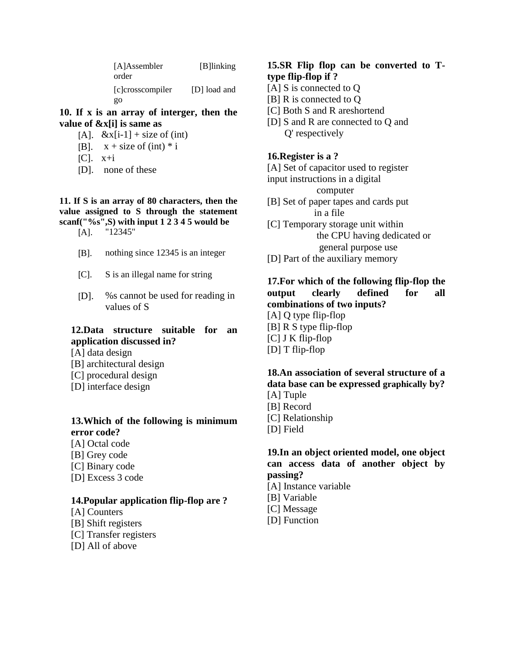| [A]Assembler<br>order  | [B] linking  |
|------------------------|--------------|
| [c]crosscompiler<br>go | [D] load and |

**10. If x is an array of interger, then the value of &x[i] is same as**

- $[A]$ .  $\&$ x $[i-1]$  + size of (int)
- [[B\].](javascript:void(0);)  $x + size \text{ of } (int) * i$
- $[C]$ .  $x+i$
- [[D\].](javascript:void(0);) none of these

#### **11. If S is an array of 80 characters, then the value assigned to S through the statement scanf("%s",S) with input 1 2 3 4 5 would be**

- [[A\].](javascript:void(0);) "12345"
- [[B\].](javascript:void(0);) nothing since 12345 is an integer
- [[C\].](javascript:void(0);) S is an illegal name for string
- [[D\].](javascript:void(0);) %s cannot be used for reading in values of S

## **12.Data structure suitable for an application discussed in?**

- [A] data design
- [B] architectural design
- [C] procedural design
- [D] interface design

## **13.Which of the following is minimum error code?**

- [A] Octal code
- [B] Grey code
- [C] Binary code
- [D] Excess 3 code

#### **14.Popular application flip-flop are ?**

- [A] Counters
- [B] Shift registers
- [C] Transfer registers
- [D] All of above

#### **15.SR Flip flop can be converted to Ttype flip-flop if ?**

- [A] S is connected to Q
- [B] R is connected to Q
- [C] Both S and R areshortend
- [D] S and R are connected to Q and Q' respectively

#### **16.Register is a ?**

[A] Set of capacitor used to register

input instructions in a digital

computer

- [B] Set of paper tapes and cards put in a file
- [C] Temporary storage unit within the CPU having dedicated or general purpose use
- [D] Part of the auxiliary memory

#### **17.For which of the following flip-flop the output clearly defined for all combinations of two inputs?**

[A] Q type flip-flop [B] R S type flip-flop [C] J K flip-flop [D] T flip-flop

# **18.An association of several structure of a data base can be expressed graphically by?**

- [A] Tuple
- [B] Record
- [C] Relationship
- [D] Field

## **19.In an object oriented model, one object can access data of another object by passing?**

- [A] Instance variable
- [B] Variable
- [C] Message
- [D] Function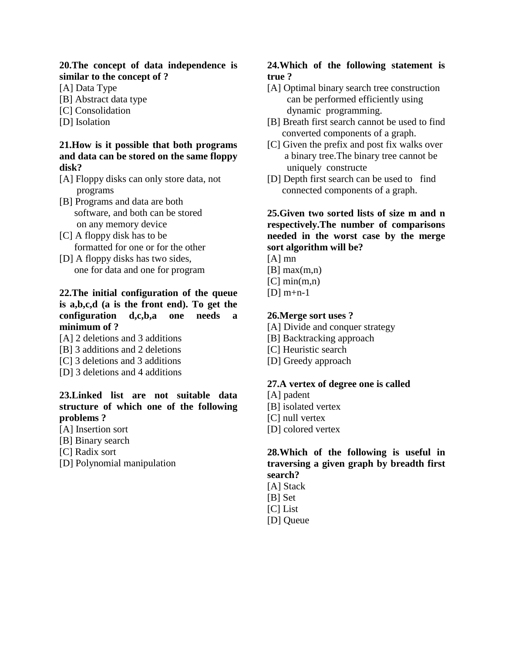#### **20.The concept of data independence is similar to the concept of ?**

[A] Data Type

- [B] Abstract data type
- [C] Consolidation
- [D] Isolation

#### **21.How is it possible that both programs and data can be stored on the same floppy disk?**

- [A] Floppy disks can only store data, not programs
- [B] Programs and data are both software, and both can be stored on any memory device
- [C] A floppy disk has to be formatted for one or for the other
- [D] A floppy disks has two sides, one for data and one for program

## **22.The initial configuration of the queue is a,b,c,d (a is the front end). To get the configuration d,c,b,a one needs a minimum of ?**

- [A] 2 deletions and 3 additions
- [B] 3 additions and 2 deletions
- [C] 3 deletions and 3 additions
- [D] 3 deletions and 4 additions

# **23.Linked list are not suitable data structure of which one of the following problems ?**

- [A] Insertion sort
- [B] Binary search
- [C] Radix sort
- [D] Polynomial manipulation

# **24.Which of the following statement is true ?**

- [A] Optimal binary search tree construction can be performed efficiently using dynamic programming.
- [B] Breath first search cannot be used to find converted components of a graph.
- [C] Given the prefix and post fix walks over a binary tree.The binary tree cannot be uniquely constructe
- [D] Depth first search can be used to find connected components of a graph.

## **25.Given two sorted lists of size m and n respectively.The number of comparisons needed in the worst case by the merge sort algorithm will be?**

- [A] mn
- $[B]$  max $(m,n)$
- $[C]$  min $(m,n)$
- $[D]$  m+n-1

## **26.Merge sort uses ?**

- [A] Divide and conquer strategy
- [B] Backtracking approach
- [C] Heuristic search
- [D] Greedy approach

## **27.A vertex of degree one is called**

- [A] padent
- [B] isolated vertex
- [C] null vertex
- [D] colored vertex

## **28.Which of the following is useful in traversing a given graph by breadth first search?**

- [A] Stack
- [B] Set
- [C] List
- [D] Queue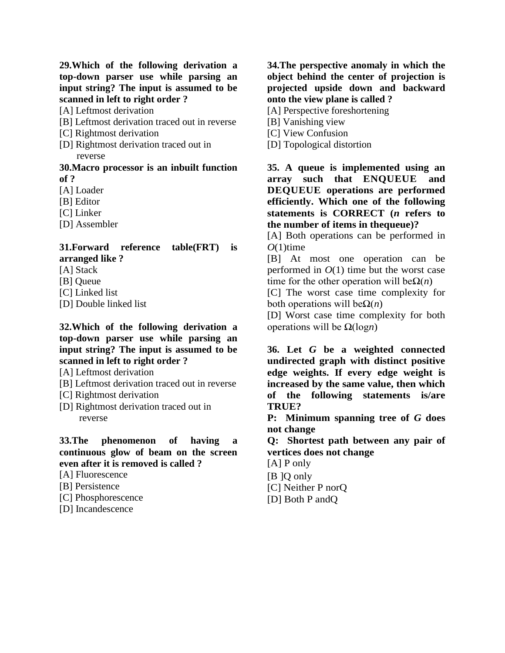**29.Which of the following derivation a top-down parser use while parsing an input string? The input is assumed to be scanned in left to right order ?**

[A] Leftmost derivation

- [B] Leftmost derivation traced out in reverse
- [C] Rightmost derivation
- [D] Rightmost derivation traced out in reverse

#### **30.Macro processor is an inbuilt function of ?**

[A] Loader

- [B] Editor
- [C] Linker
- [D] Assembler

#### **31.Forward reference table(FRT) is arranged like ?**

- [A] Stack
- [B] Queue
- [C] Linked list
- [D] Double linked list

#### **32.Which of the following derivation a top-down parser use while parsing an input string? The input is assumed to be scanned in left to right order ?**

[A] Leftmost derivation

- [B] Leftmost derivation traced out in reverse
- [C] Rightmost derivation
- [D] Rightmost derivation traced out in reverse

#### **33.The phenomenon of having a continuous glow of beam on the screen even after it is removed is called ?**

- [A] Fluorescence
- [B] Persistence
- [C] Phosphorescence
- [D] Incandescence

**34.The perspective anomaly in which the object behind the center of projection is projected upside down and backward onto the view plane is called ?**

[A] Perspective foreshortening

- [B] Vanishing view
- [C] View Confusion
- [D] Topological distortion

**35. A queue is implemented using an array such that ENQUEUE and DEQUEUE operations are performed efficiently. Which one of the following statements is CORRECT (***n* **refers to the number of items in thequeue)?**

[A] Both operations can be performed in  $O(1)$ time

[B] At most one operation can be performed in  $O(1)$  time but the worst case time for the other operation will be $\Omega(n)$ 

[C] The worst case time complexity for both operations will beΩ(*n*)

[D] Worst case time complexity for both operations will be Ω(log*n*)

**36. Let** *G* **be a weighted connected undirected graph with distinct positive edge weights. If every edge weight is increased by the same value, then which of the following statements is/are TRUE?**

**P: Minimum spanning tree of** *G* **does not change**

**Q: Shortest path between any pair of vertices does not change**

[A] P only

- [B ]Q only
- [C] Neither P norQ
- [D] Both P andQ